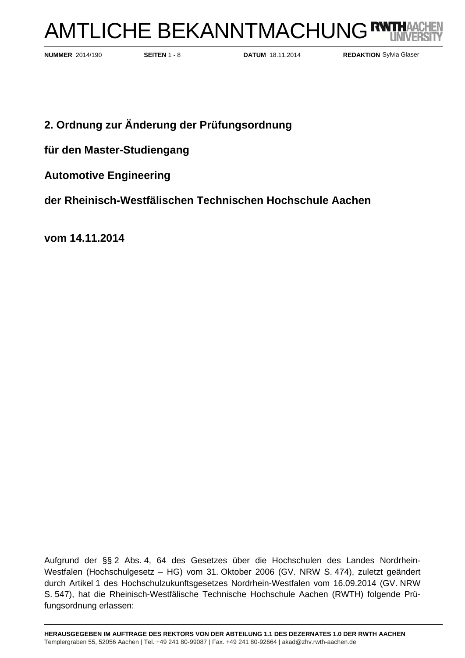# AMTLICHE BEKANNTMACHUNG<sup>R</sup>

**SEITEN** 1 - 8 **DATUM** 18.11.2014 **NUMMER** 2014/190 **REDAKTION**

**REDAKTION** Sylvia Glaser

## **2. Ordnung zur Änderung der Prüfungsordnung**

**für den Master-Studiengang** 

**Automotive Engineering** 

**der Rheinisch-Westfälischen Technischen Hochschule Aachen** 

**vom 14.11.2014** 

Aufgrund der §§ 2 Abs. 4, 64 des Gesetzes über die Hochschulen des Landes Nordrhein-Westfalen (Hochschulgesetz – HG) vom 31. Oktober 2006 (GV. NRW S. 474), zuletzt geändert durch Artikel 1 des Hochschulzukunftsgesetzes Nordrhein-Westfalen vom 16.09.2014 (GV. NRW S. 547), hat die Rheinisch-Westfälische Technische Hochschule Aachen (RWTH) folgende Prüfungsordnung erlassen: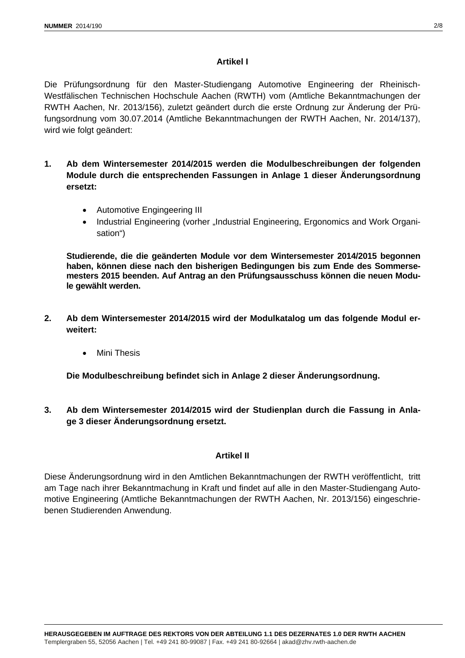#### **Artikel I**

Die Prüfungsordnung für den Master-Studiengang Automotive Engineering der Rheinisch-Westfälischen Technischen Hochschule Aachen (RWTH) vom (Amtliche Bekanntmachungen der RWTH Aachen, Nr. 2013/156), zuletzt geändert durch die erste Ordnung zur Änderung der Prüfungsordnung vom 30.07.2014 (Amtliche Bekanntmachungen der RWTH Aachen, Nr. 2014/137), wird wie folgt geändert:

- **1. Ab dem Wintersemester 2014/2015 werden die Modulbeschreibungen der folgenden Module durch die entsprechenden Fassungen in Anlage 1 dieser Änderungsordnung ersetzt:** 
	- Automotive Engingeering III
	- Industrial Engineering (vorher "Industrial Engineering, Ergonomics and Work Organisation")

**Studierende, die die geänderten Module vor dem Wintersemester 2014/2015 begonnen haben, können diese nach den bisherigen Bedingungen bis zum Ende des Sommersemesters 2015 beenden. Auf Antrag an den Prüfungsausschuss können die neuen Module gewählt werden.** 

- **2. Ab dem Wintersemester 2014/2015 wird der Modulkatalog um das folgende Modul erweitert:** 
	- Mini Thesis

**Die Modulbeschreibung befindet sich in Anlage 2 dieser Änderungsordnung.** 

**3. Ab dem Wintersemester 2014/2015 wird der Studienplan durch die Fassung in Anlage 3 dieser Änderungsordnung ersetzt.** 

#### **Artikel II**

Diese Änderungsordnung wird in den Amtlichen Bekanntmachungen der RWTH veröffentlicht, tritt am Tage nach ihrer Bekanntmachung in Kraft und findet auf alle in den Master-Studiengang Automotive Engineering (Amtliche Bekanntmachungen der RWTH Aachen, Nr. 2013/156) eingeschriebenen Studierenden Anwendung.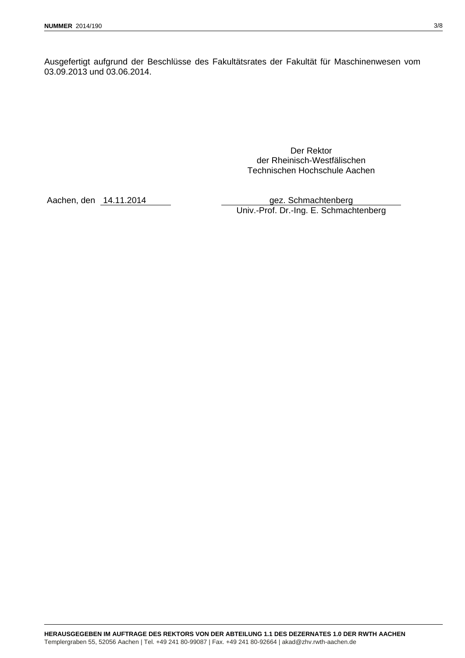Ausgefertigt aufgrund der Beschlüsse des Fakultätsrates der Fakultät für Maschinenwesen vom 03.09.2013 und 03.06.2014.

> Der Rektor der Rheinisch-Westfälischen Technischen Hochschule Aachen

Aachen, den 14.11.2014 gez. Schmachtenberg Univ.-Prof. Dr.-Ing. E. Schmachtenberg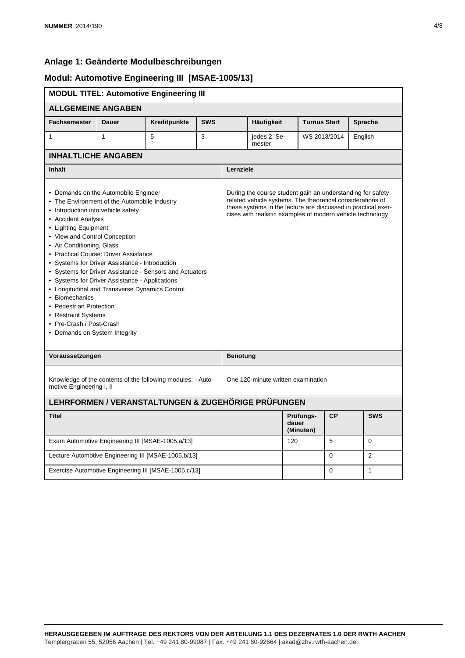#### **Anlage 1: Geänderte Modulbeschreibungen**

#### **Modul: Automotive Engineering III [MSAE-1005/13]**

|                                                                                                                                                                                                                                                                                                                                                                                                                                                                                                                                                                                                                                    |              | <b>MODUL TITEL: Automotive Engineering III</b>      |                                    |                 |                                                                                                                                                                                                                                                         |                                 |              |                |  |  |  |  |
|------------------------------------------------------------------------------------------------------------------------------------------------------------------------------------------------------------------------------------------------------------------------------------------------------------------------------------------------------------------------------------------------------------------------------------------------------------------------------------------------------------------------------------------------------------------------------------------------------------------------------------|--------------|-----------------------------------------------------|------------------------------------|-----------------|---------------------------------------------------------------------------------------------------------------------------------------------------------------------------------------------------------------------------------------------------------|---------------------------------|--------------|----------------|--|--|--|--|
| <b>ALLGEMEINE ANGABEN</b>                                                                                                                                                                                                                                                                                                                                                                                                                                                                                                                                                                                                          |              |                                                     |                                    |                 |                                                                                                                                                                                                                                                         |                                 |              |                |  |  |  |  |
| <b>Fachsemester</b>                                                                                                                                                                                                                                                                                                                                                                                                                                                                                                                                                                                                                | <b>Dauer</b> | Kreditpunkte                                        | <b>SWS</b>                         |                 | Häufigkeit                                                                                                                                                                                                                                              | <b>Turnus Start</b>             |              | <b>Sprache</b> |  |  |  |  |
| $\mathbf{1}$                                                                                                                                                                                                                                                                                                                                                                                                                                                                                                                                                                                                                       | $\mathbf{1}$ | 5                                                   | 3                                  |                 | jedes 2. Se-<br>mester                                                                                                                                                                                                                                  |                                 | WS 2013/2014 | English        |  |  |  |  |
| <b>INHALTLICHE ANGABEN</b>                                                                                                                                                                                                                                                                                                                                                                                                                                                                                                                                                                                                         |              |                                                     |                                    |                 |                                                                                                                                                                                                                                                         |                                 |              |                |  |  |  |  |
| Inhalt                                                                                                                                                                                                                                                                                                                                                                                                                                                                                                                                                                                                                             |              |                                                     |                                    |                 | Lernziele                                                                                                                                                                                                                                               |                                 |              |                |  |  |  |  |
| • Demands on the Automobile Engineer<br>• The Environment of the Automobile Industry<br>• Introduction into vehicle safety<br>• Accident Analysis<br>• Lighting Equipment<br>• View and Control Conception<br>• Air Conditioning, Glass<br>• Practical Course: Driver Assistance<br>• Systems for Driver Assistance - Introduction<br>• Systems for Driver Assistance - Sensors and Actuators<br>• Systems for Driver Assistance - Applications<br>• Longitudinal and Transverse Dynamics Control<br>• Biomechanics<br>• Pedestrian Protection<br>• Restraint Systems<br>• Pre-Crash / Post-Crash<br>• Demands on System Integrity |              |                                                     |                                    |                 | During the course student gain an understanding for safety<br>related vehicle systems. The theoretical considerations of<br>these systems in the lecture are discussed in practical exer-<br>cises with realistic examples of modern vehicle technology |                                 |              |                |  |  |  |  |
| Voraussetzungen                                                                                                                                                                                                                                                                                                                                                                                                                                                                                                                                                                                                                    |              |                                                     |                                    | <b>Benotung</b> |                                                                                                                                                                                                                                                         |                                 |              |                |  |  |  |  |
| Knowledge of the contents of the following modules: - Auto-<br>motive Engineering I, II                                                                                                                                                                                                                                                                                                                                                                                                                                                                                                                                            |              |                                                     | One 120-minute written examination |                 |                                                                                                                                                                                                                                                         |                                 |              |                |  |  |  |  |
|                                                                                                                                                                                                                                                                                                                                                                                                                                                                                                                                                                                                                                    |              | LEHRFORMEN / VERANSTALTUNGEN & ZUGEHÖRIGE PRÜFUNGEN |                                    |                 |                                                                                                                                                                                                                                                         |                                 |              |                |  |  |  |  |
| <b>Titel</b>                                                                                                                                                                                                                                                                                                                                                                                                                                                                                                                                                                                                                       |              |                                                     |                                    |                 |                                                                                                                                                                                                                                                         | Prüfungs-<br>dauer<br>(Minuten) | <b>CP</b>    | <b>SWS</b>     |  |  |  |  |
| Exam Automotive Engineering III [MSAE-1005.a/13]                                                                                                                                                                                                                                                                                                                                                                                                                                                                                                                                                                                   |              |                                                     |                                    |                 | 120                                                                                                                                                                                                                                                     |                                 | 5            | $\Omega$       |  |  |  |  |
| Lecture Automotive Engineering III [MSAE-1005.b/13]                                                                                                                                                                                                                                                                                                                                                                                                                                                                                                                                                                                |              |                                                     |                                    |                 |                                                                                                                                                                                                                                                         |                                 | $\Omega$     | 2              |  |  |  |  |
| Exercise Automotive Engineering III [MSAE-1005.c/13]                                                                                                                                                                                                                                                                                                                                                                                                                                                                                                                                                                               |              |                                                     |                                    |                 |                                                                                                                                                                                                                                                         |                                 | $\Omega$     | 1              |  |  |  |  |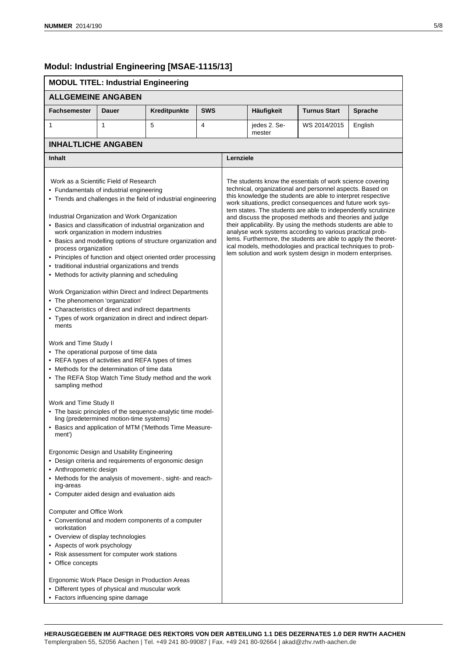#### **Modul: Industrial Engineering [MSAE-1115/13]**

#### **MODUL TITEL: Industrial Engineering ALLGEMEINE ANGABEN Fachsemester Dauer Kreditpunkte SWS Häufigkeit Turnus Start Sprache** 1 1 | 5 | 4 | jedes 2. Semester WS 2014/2015 | English **INHALTLICHE ANGABEN Inhalt Lernziele** Work as a Scientific Field of Research • Fundamentals of industrial engineering • Trends and challenges in the field of industrial engineering Industrial Organization and Work Organization • Basics and classification of industrial organization and work organization in modern industries • Basics and modelling options of structure organization and process organization • Principles of function and object oriented order processing • traditional industrial organizations and trends • Methods for activity planning and scheduling Work Organization within Direct and Indirect Departments • The phenomenon 'organization' • Characteristics of direct and indirect departments • Types of work organization in direct and indirect departments Work and Time Study I • The operational purpose of time data • REFA types of activities and REFA types of times • Methods for the determination of time data • The REFA Stop Watch Time Study method and the work sampling method Work and Time Study II • The basic principles of the sequence-analytic time modelling (predetermined motion-time systems) • Basics and application of MTM ('Methods Time Measurement') Ergonomic Design and Usability Engineering • Design criteria and requirements of ergonomic design • Anthropometric design • Methods for the analysis of movement-, sight- and reaching-areas • Computer aided design and evaluation aids Computer and Office Work • Conventional and modern components of a computer workstation • Overview of display technologies • Aspects of work psychology • Risk assessment for computer work stations • Office concepts Ergonomic Work Place Design in Production Areas • Different types of physical and muscular work • Factors influencing spine damage The students know the essentials of work science covering technical, organizational and personnel aspects. Based on this knowledge the students are able to interpret respective work situations, predict consequences and future work system states. The students are able to independently scrutinize and discuss the proposed methods and theories and judge their applicability. By using the methods students are able to analyse work systems according to various practical problems. Furthermore, the students are able to apply the theoretical models, methodologies and practical techniques to problem solution and work system design in modern enterprises.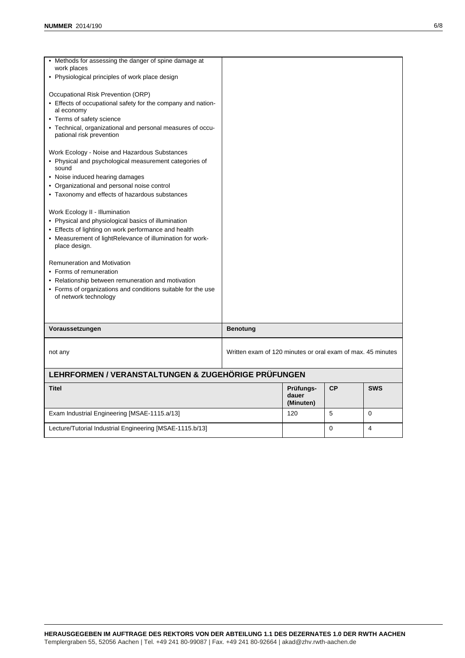| • Methods for assessing the danger of spine damage at<br>work places                   |                 |                                                             |    |            |  |  |  |
|----------------------------------------------------------------------------------------|-----------------|-------------------------------------------------------------|----|------------|--|--|--|
| • Physiological principles of work place design                                        |                 |                                                             |    |            |  |  |  |
| Occupational Risk Prevention (ORP)                                                     |                 |                                                             |    |            |  |  |  |
| • Effects of occupational safety for the company and nation-<br>al economy             |                 |                                                             |    |            |  |  |  |
| • Terms of safety science                                                              |                 |                                                             |    |            |  |  |  |
| • Technical, organizational and personal measures of occu-<br>pational risk prevention |                 |                                                             |    |            |  |  |  |
| Work Ecology - Noise and Hazardous Substances                                          |                 |                                                             |    |            |  |  |  |
| • Physical and psychological measurement categories of<br>sound                        |                 |                                                             |    |            |  |  |  |
| • Noise induced hearing damages                                                        |                 |                                                             |    |            |  |  |  |
| • Organizational and personal noise control                                            |                 |                                                             |    |            |  |  |  |
| • Taxonomy and effects of hazardous substances                                         |                 |                                                             |    |            |  |  |  |
| Work Ecology II - Illumination                                                         |                 |                                                             |    |            |  |  |  |
| • Physical and physiological basics of illumination                                    |                 |                                                             |    |            |  |  |  |
| • Effects of lighting on work performance and health                                   |                 |                                                             |    |            |  |  |  |
| • Measurement of lightRelevance of illumination for work-<br>place design.             |                 |                                                             |    |            |  |  |  |
| <b>Remuneration and Motivation</b>                                                     |                 |                                                             |    |            |  |  |  |
| • Forms of remuneration                                                                |                 |                                                             |    |            |  |  |  |
| • Relationship between remuneration and motivation                                     |                 |                                                             |    |            |  |  |  |
| • Forms of organizations and conditions suitable for the use<br>of network technology  |                 |                                                             |    |            |  |  |  |
|                                                                                        |                 |                                                             |    |            |  |  |  |
| Voraussetzungen                                                                        | <b>Benotung</b> |                                                             |    |            |  |  |  |
| not any                                                                                |                 | Written exam of 120 minutes or oral exam of max. 45 minutes |    |            |  |  |  |
| LEHRFORMEN / VERANSTALTUNGEN & ZUGEHÖRIGE PRÜFUNGEN                                    |                 |                                                             |    |            |  |  |  |
| <b>Titel</b>                                                                           |                 | Prüfungs-<br>dauer<br>(Minuten)                             | CP | <b>SWS</b> |  |  |  |
| Exam Industrial Engineering [MSAE-1115.a/13]                                           |                 | 120                                                         | 5  | $\Omega$   |  |  |  |
|                                                                                        |                 |                                                             |    |            |  |  |  |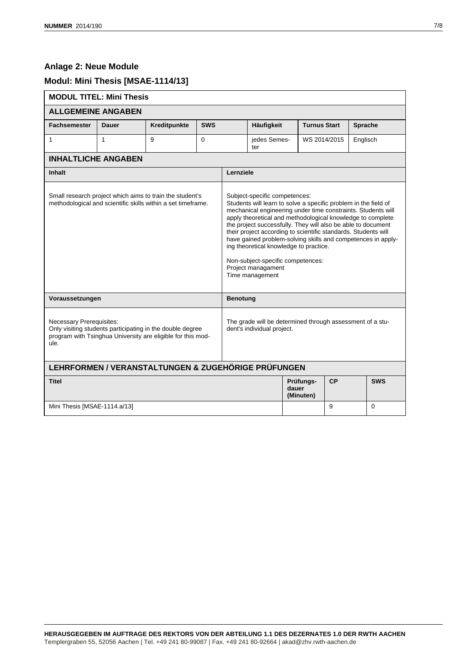### **Anlage 2: Neue Module**

### **Modul: Mini Thesis [MSAE-1114/13]**

| <b>MODUL TITEL: Mini Thesis</b>                                                                                                                                     |              |                                                     |            |                 |                                                                                                                                                                                                                                                                                                                                                                                                                                                                                                                                                          |              |                     |            |  |  |  |  |  |
|---------------------------------------------------------------------------------------------------------------------------------------------------------------------|--------------|-----------------------------------------------------|------------|-----------------|----------------------------------------------------------------------------------------------------------------------------------------------------------------------------------------------------------------------------------------------------------------------------------------------------------------------------------------------------------------------------------------------------------------------------------------------------------------------------------------------------------------------------------------------------------|--------------|---------------------|------------|--|--|--|--|--|
| <b>ALLGEMEINE ANGABEN</b>                                                                                                                                           |              |                                                     |            |                 |                                                                                                                                                                                                                                                                                                                                                                                                                                                                                                                                                          |              |                     |            |  |  |  |  |  |
| <b>Fachsemester</b>                                                                                                                                                 | <b>Dauer</b> | Kreditpunkte                                        | <b>SWS</b> |                 | Häufigkeit                                                                                                                                                                                                                                                                                                                                                                                                                                                                                                                                               |              | <b>Turnus Start</b> | Sprache    |  |  |  |  |  |
| 1                                                                                                                                                                   | $\mathbf{1}$ | 9                                                   | $\Omega$   |                 | jedes Semes-<br>ter                                                                                                                                                                                                                                                                                                                                                                                                                                                                                                                                      | WS 2014/2015 | Englisch            |            |  |  |  |  |  |
| <b>INHALTLICHE ANGABEN</b>                                                                                                                                          |              |                                                     |            |                 |                                                                                                                                                                                                                                                                                                                                                                                                                                                                                                                                                          |              |                     |            |  |  |  |  |  |
| <b>Inhalt</b>                                                                                                                                                       |              |                                                     |            |                 | Lernziele                                                                                                                                                                                                                                                                                                                                                                                                                                                                                                                                                |              |                     |            |  |  |  |  |  |
| Small research project which aims to train the student's<br>methodological and scientific skills within a set timeframe.                                            |              |                                                     |            |                 | Subject-specific competences:<br>Students will learn to solve a specific problem in the field of<br>mechanical engineering under time constraints. Students will<br>apply theoretical and methodological knowledge to complete<br>the project successfully. They will also be able to document<br>their project according to scientific standards. Students will<br>have gained problem-solving skills and competences in apply-<br>ing theoretical knowledge to practice.<br>Non-subject-specific competences:<br>Project managament<br>Time management |              |                     |            |  |  |  |  |  |
| Voraussetzungen                                                                                                                                                     |              |                                                     |            | <b>Benotung</b> |                                                                                                                                                                                                                                                                                                                                                                                                                                                                                                                                                          |              |                     |            |  |  |  |  |  |
| <b>Necessary Prerequisites:</b><br>Only visiting students participating in the double degree<br>program with Tsinghua University are eligible for this mod-<br>ule. |              |                                                     |            |                 | The grade will be determined through assessment of a stu-<br>dent's individual project.                                                                                                                                                                                                                                                                                                                                                                                                                                                                  |              |                     |            |  |  |  |  |  |
|                                                                                                                                                                     |              | LEHRFORMEN / VERANSTALTUNGEN & ZUGEHÖRIGE PRÜFUNGEN |            |                 |                                                                                                                                                                                                                                                                                                                                                                                                                                                                                                                                                          |              |                     |            |  |  |  |  |  |
| <b>Titel</b>                                                                                                                                                        |              |                                                     |            |                 | Prüfungs-<br>dauer<br>(Minuten)                                                                                                                                                                                                                                                                                                                                                                                                                                                                                                                          | CP           |                     | <b>SWS</b> |  |  |  |  |  |
| Mini Thesis [MSAE-1114.a/13]                                                                                                                                        |              |                                                     | 9          |                 | $\Omega$                                                                                                                                                                                                                                                                                                                                                                                                                                                                                                                                                 |              |                     |            |  |  |  |  |  |